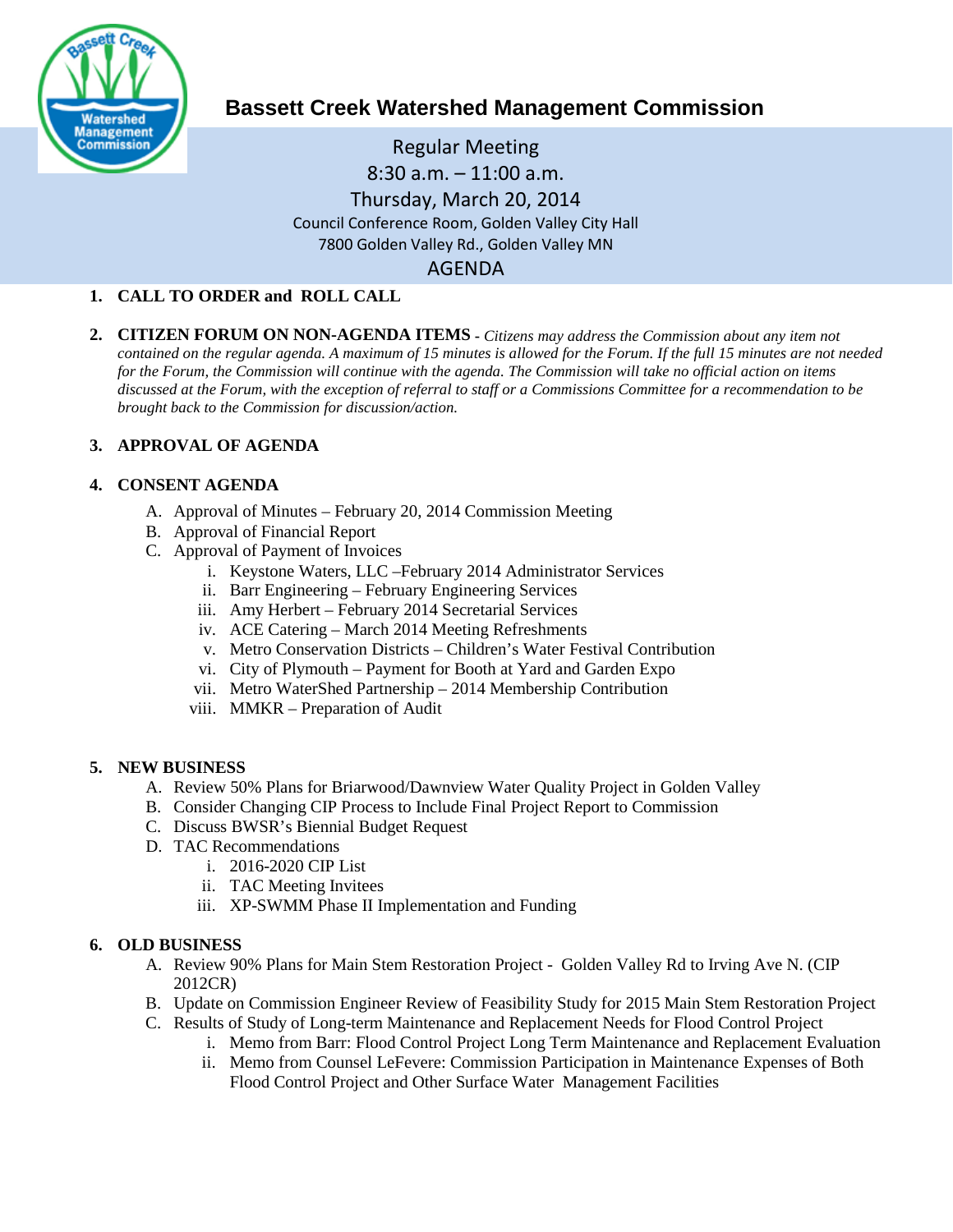

# **Bassett Creek Watershed Management Commission**

Regular Meeting 8:30 a.m. – 11:00 a.m. Thursday, March 20, 2014 Council Conference Room, Golden Valley City Hall 7800 Golden Valley Rd., Golden Valley MN AGENDA

## **1. CALL TO ORDER and ROLL CALL**

**2. CITIZEN FORUM ON NON-AGENDA ITEMS -** *Citizens may address the Commission about any item not contained on the regular agenda. A maximum of 15 minutes is allowed for the Forum. If the full 15 minutes are not needed for the Forum, the Commission will continue with the agenda. The Commission will take no official action on items discussed at the Forum, with the exception of referral to staff or a Commissions Committee for a recommendation to be brought back to the Commission for discussion/action.*

## **3. APPROVAL OF AGENDA**

#### **4. CONSENT AGENDA**

- A. Approval of Minutes February 20, 2014 Commission Meeting
- B. Approval of Financial Report
- C. Approval of Payment of Invoices
	- i. Keystone Waters, LLC –February 2014 Administrator Services
	- ii. Barr Engineering February Engineering Services
	- iii. Amy Herbert February 2014 Secretarial Services
	- iv. ACE Catering March 2014 Meeting Refreshments
	- v. Metro Conservation Districts Children's Water Festival Contribution
	- vi. City of Plymouth Payment for Booth at Yard and Garden Expo
	- vii. Metro WaterShed Partnership 2014 Membership Contribution
	- viii. MMKR Preparation of Audit

#### **5. NEW BUSINESS**

- A. Review 50% Plans for Briarwood/Dawnview Water Quality Project in Golden Valley
- B. Consider Changing CIP Process to Include Final Project Report to Commission
- C. Discuss BWSR's Biennial Budget Request
- D. TAC Recommendations
	- i. 2016-2020 CIP List
	- ii. TAC Meeting Invitees
	- iii. XP-SWMM Phase II Implementation and Funding

## **6. OLD BUSINESS**

- A. Review 90% Plans for Main Stem Restoration Project Golden Valley Rd to Irving Ave N. (CIP 2012CR)
- B. Update on Commission Engineer Review of Feasibility Study for 2015 Main Stem Restoration Project
- C. Results of Study of Long-term Maintenance and Replacement Needs for Flood Control Project
	- i. Memo from Barr: Flood Control Project Long Term Maintenance and Replacement Evaluation
		- ii. Memo from Counsel LeFevere: Commission Participation in Maintenance Expenses of Both Flood Control Project and Other Surface Water Management Facilities